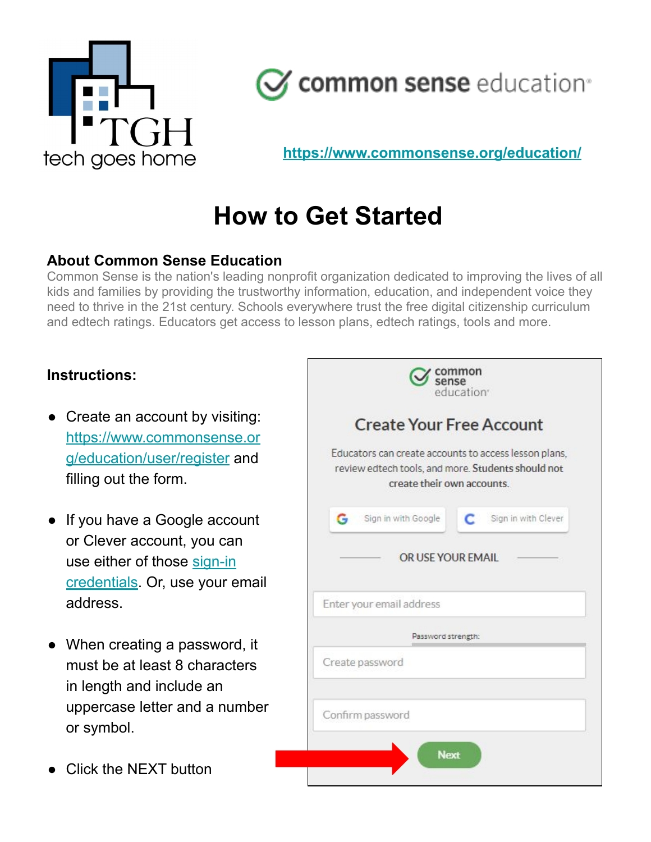



**<https://www.commonsense.org/education/>**

## **How to Get Started**

#### **About Common Sense Education**

Common Sense is the nation's leading nonprofit organization dedicated to improving the lives of all kids and families by providing the trustworthy information, education, and independent voice they need to thrive in the 21st century. Schools everywhere trust the free digital citizenship curriculum and edtech ratings. Educators get access to lesson plans, edtech ratings, tools and more.

#### **Instructions:**

- Create an account by visiting: [https://www.commonsense.or](https://www.commonsense.org/education/user/register) [g/education/user/register](https://www.commonsense.org/education/user/register) and filling out the form.
- If you have a Google account or Clever account, you can use either of those [sign-in](https://www.avg.com/en/signal/is-it-safe-to-log-in-with-facebook-or-google) [credentials.](https://www.avg.com/en/signal/is-it-safe-to-log-in-with-facebook-or-google) Or, use your email address.
- When creating a password, it must be at least 8 characters in length and include an uppercase letter and a number or symbol.
- Click the NEXT button

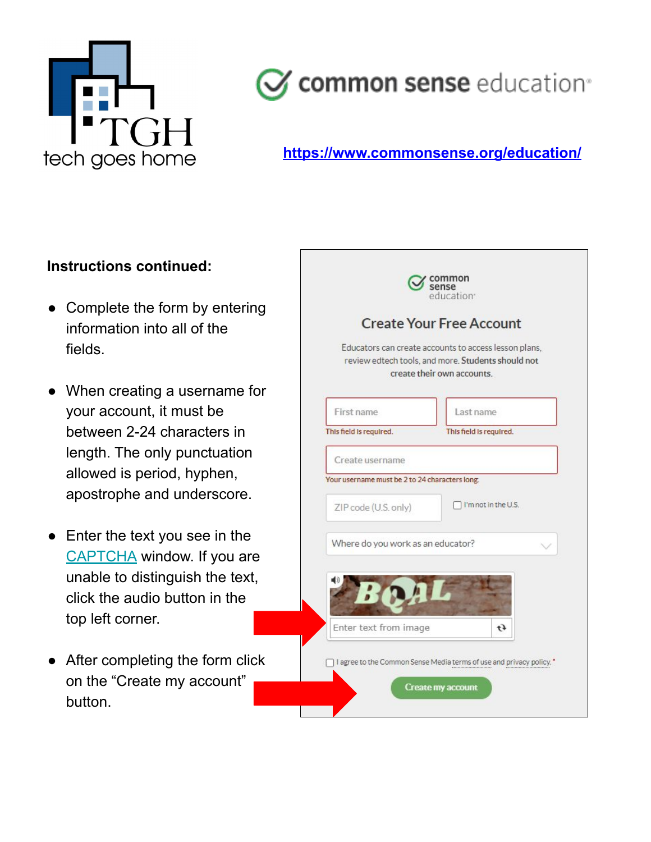

# $\mathcal J$  common sense education®

## **https://www.commonsense.org/education/**

#### **Instructions continued:**

- Complete the form by entering information into all of the fields.
- When creating a username for your account, it must be between 2-24 characters in length. The only punctuation allowed is period, hyphen, apostrophe and underscore.
- Enter the text you see in the [CAPTCHA](https://support.google.com/a/answer/1217728?hl=en) window. If you are unable to distinguish the text, click the audio button in the top left corner.
- After completing the form click on the "Create my account" button.

|                                                | Educators can create accounts to access lesson plans,<br>review edtech tools, and more. Students should not<br>create their own accounts. |
|------------------------------------------------|-------------------------------------------------------------------------------------------------------------------------------------------|
| First name                                     | Last name                                                                                                                                 |
| This field is required.                        | This field is required.                                                                                                                   |
| Create username                                |                                                                                                                                           |
| Your username must be 2 to 24 characters long. |                                                                                                                                           |
| ZIP code (U.S. only)                           | I'm not in the U.S.                                                                                                                       |
| Where do you work as an educator?              |                                                                                                                                           |
|                                                |                                                                                                                                           |
| Enter text from image                          | $\mathfrak{t}$                                                                                                                            |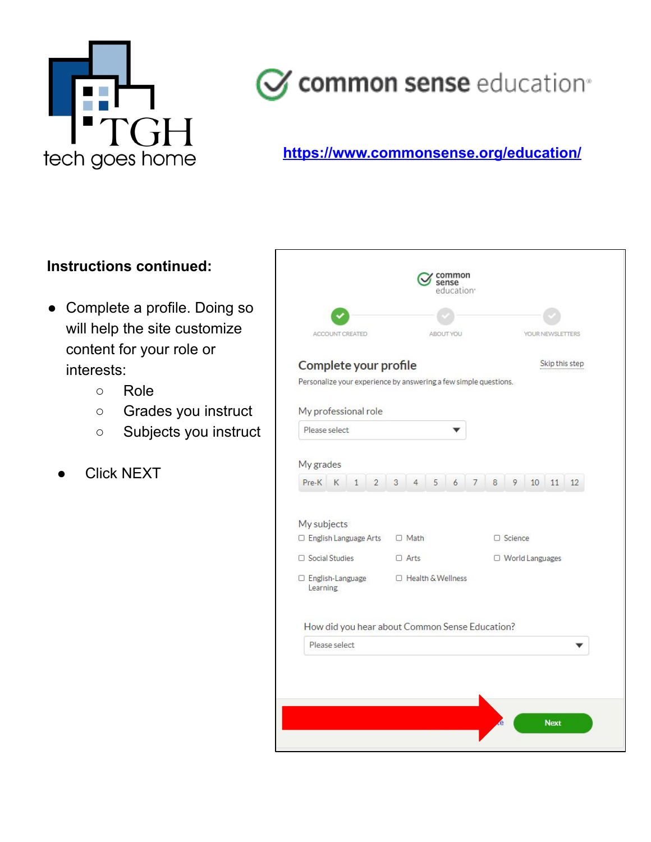

## **https://www.commonsense.org/education/**

## **Instructions continued:**

- Complete a profile. Doing so will help the site customize content for your role or interests:
	- Role
	- Grades you instruct
	- Subjects you instruct
	- **Click NEXT**

| ACCOUNT CREATED                                                  | ABOUT YOU                  |        | YOUR NEWSLETTERS               |
|------------------------------------------------------------------|----------------------------|--------|--------------------------------|
| Complete your profile                                            |                            |        | Skip this step                 |
| Personalize your experience by answering a few simple questions. |                            |        |                                |
| My professional role                                             |                            |        |                                |
| Please select                                                    |                            |        |                                |
|                                                                  |                            |        |                                |
| My grades                                                        |                            |        |                                |
| Pre-K K<br>$\mathbf{1}$<br>$\overline{2}$                        | 3<br>5<br>6<br>4           | 8<br>7 | 9<br>10<br>11 12               |
| My subjects<br>□ English Language Arts                           | $\Box$ Math<br>$\Box$ Arts |        | □ Science<br>O World Languages |
| $\Box$ Social Studies                                            |                            |        |                                |
| □ English-Language<br>Learning                                   | □ Health & Wellness        |        |                                |
| How did you hear about Common Sense Education?<br>Please select  |                            |        |                                |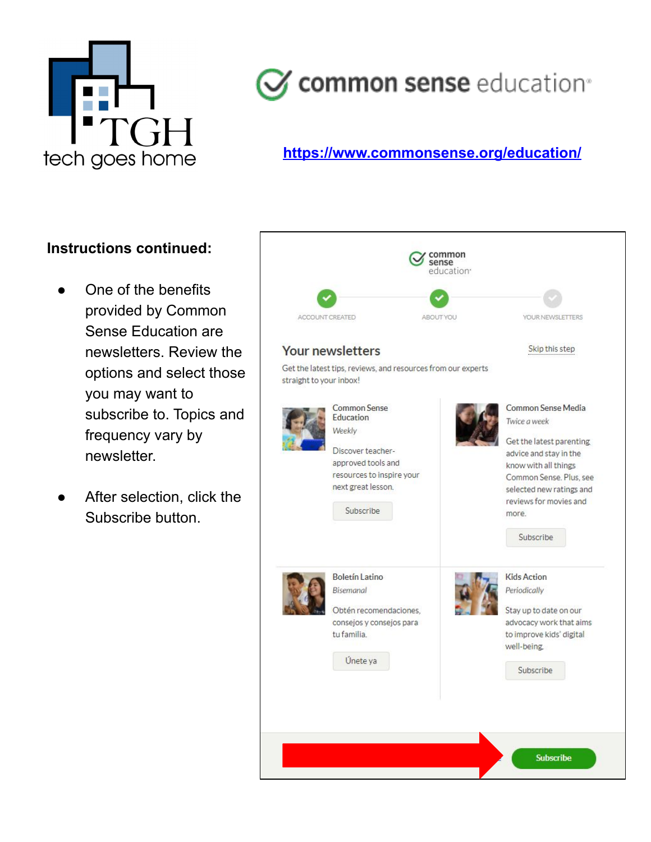

### **https://www.commonsense.org/education/**

#### **Instructions continued:**

- One of the benefits provided by Common Sense Education are newsletters. Review the options and select those you may want to subscribe to. Topics and frequency vary by newsletter.
- After selection, click the Subscribe button.

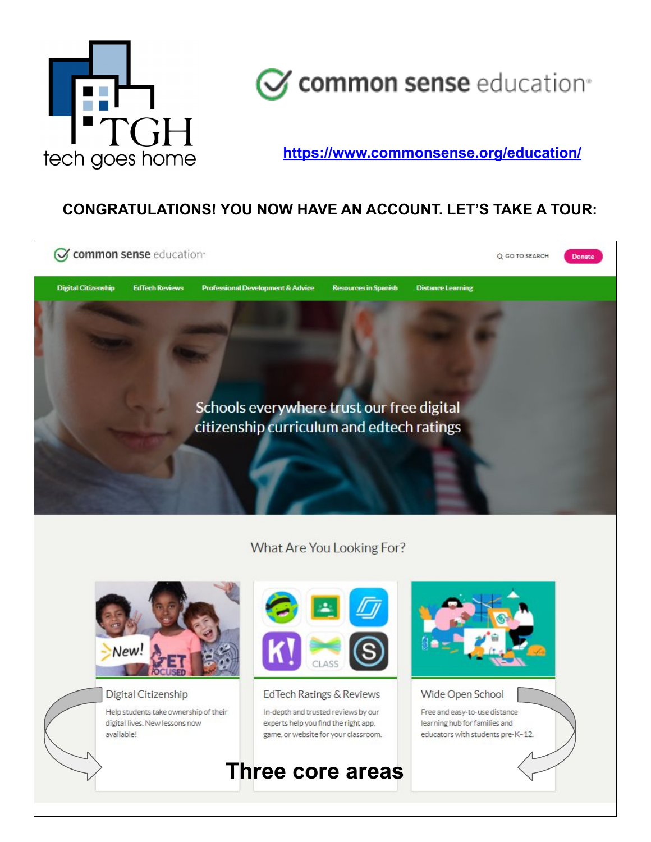

**https://www.commonsense.org/education/**

## **CONGRATULATIONS! YOU NOW HAVE AN ACCOUNT. LET'S TAKE A TOUR:**

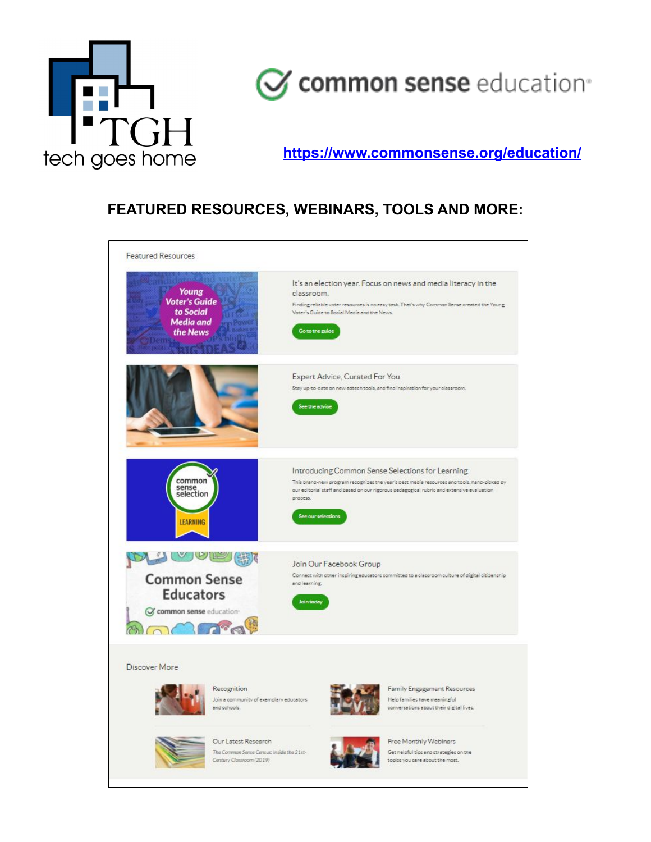

**https://www.commonsense.org/education/**

## **FEATURED RESOURCES, WEBINARS, TOOLS AND MORE:**

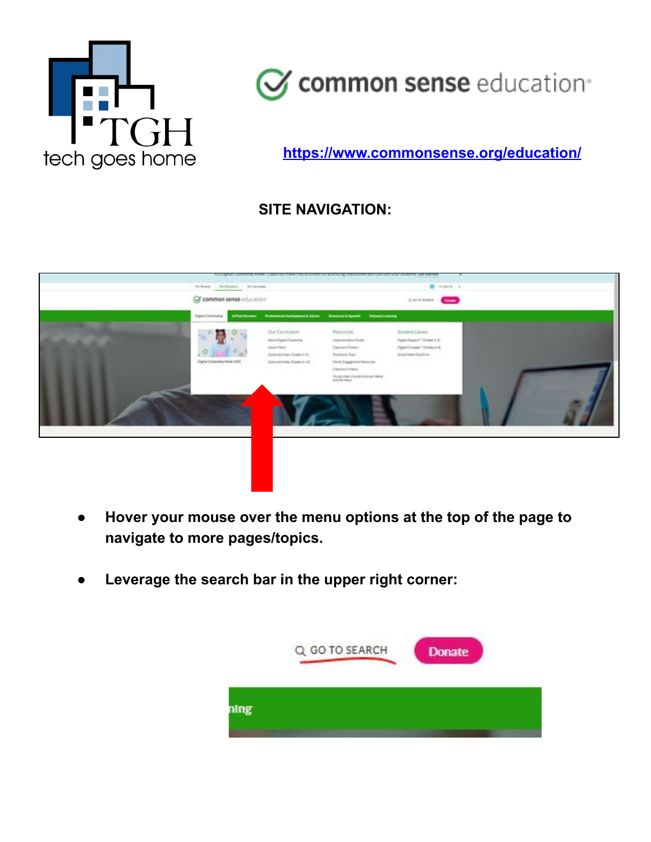

**https://www.commonsense.org/education/**

## **SITE NAVIGATION:**



- **Hover your mouse over the menu options at the top of the page to navigate to more pages/topics.**
- **● Leverage the search bar in the upper right corner:**

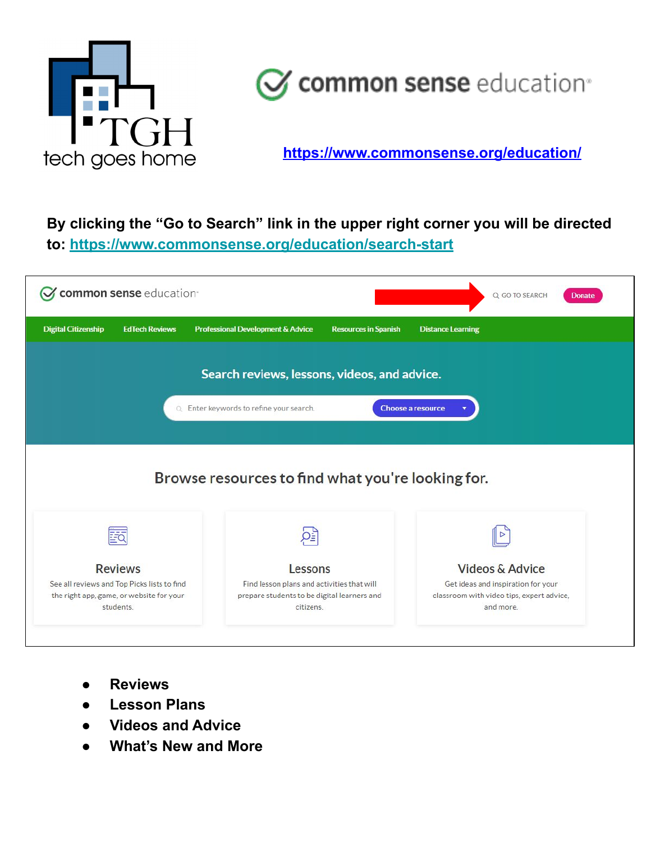

**https://www.commonsense.org/education/**

## **By clicking the "Go to Search" link in the upper right corner you will be directed to: <https://www.commonsense.org/education/search-start>**

| common sense education <sup>®</sup>                                                                  |                                                                                                        |                             |                          | Q GO TO SEARCH                                                                               | Donate |  |  |
|------------------------------------------------------------------------------------------------------|--------------------------------------------------------------------------------------------------------|-----------------------------|--------------------------|----------------------------------------------------------------------------------------------|--------|--|--|
| <b>Digital Citizenship</b><br><b>EdTech Reviews</b>                                                  | Professional Development & Advice                                                                      | <b>Resources in Spanish</b> | <b>Distance Learning</b> |                                                                                              |        |  |  |
| Search reviews, lessons, videos, and advice.                                                         |                                                                                                        |                             |                          |                                                                                              |        |  |  |
|                                                                                                      | Q Enter keywords to refine your search.                                                                |                             | <b>Choose a resource</b> |                                                                                              |        |  |  |
|                                                                                                      |                                                                                                        |                             |                          |                                                                                              |        |  |  |
|                                                                                                      | Browse resources to find what you're looking for.                                                      |                             |                          |                                                                                              |        |  |  |
|                                                                                                      |                                                                                                        |                             |                          |                                                                                              |        |  |  |
|                                                                                                      |                                                                                                        |                             |                          |                                                                                              |        |  |  |
| <b>Reviews</b>                                                                                       | Lessons                                                                                                |                             |                          | <b>Videos &amp; Advice</b>                                                                   |        |  |  |
| See all reviews and Top Picks lists to find<br>the right app, game, or website for your<br>students. | Find lesson plans and activities that will<br>prepare students to be digital learners and<br>citizens. |                             |                          | Get ideas and inspiration for your<br>classroom with video tips, expert advice,<br>and more. |        |  |  |
|                                                                                                      |                                                                                                        |                             |                          |                                                                                              |        |  |  |

- **● Reviews**
- **● Lesson Plans**
- **● Videos and Advice**
- **● What's New and More**